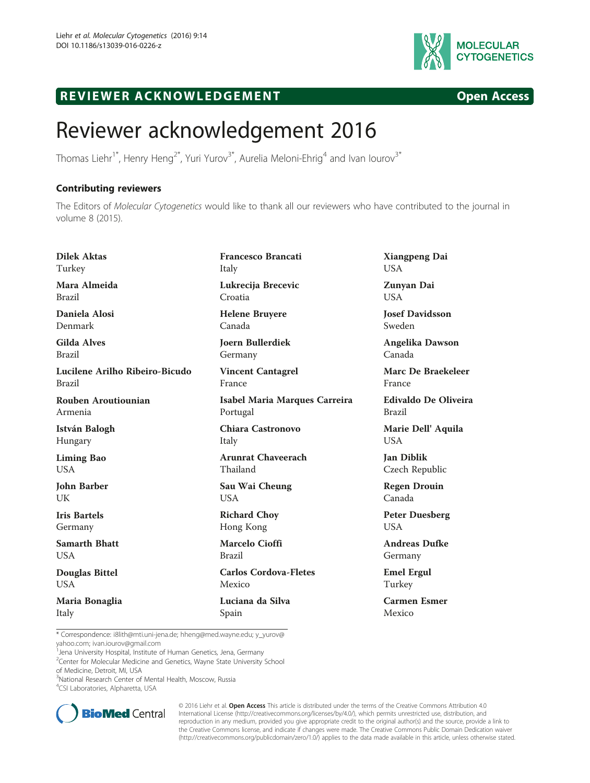

## R EVI EW E R ACKNOW L EDG EM EN T Open Access

## Reviewer acknowledgement 2016

Thomas Liehr<sup>1\*</sup>, Henry Heng<sup>2\*</sup>, Yuri Yurov<sup>3\*</sup>, Aurelia Meloni-Ehrig<sup>4</sup> and Ivan Iourov<sup>3\*</sup>

## Contributing reviewers

The Editors of *Molecular Cytogenetics* would like to thank all our reviewers who have contributed to the journal in<br>volume 8 (2015) volume 8 (2015).

Dilek Aktas Turkey Mara Almeida Brazil Daniela Alosi Denmark Gilda Alves Brazil Lucilene Arilho Ribeiro-Bicudo Brazil Rouben Aroutiounian Armenia István Balogh Hungary Liming Bao USA John Barber UK Iris Bartels Germany Samarth Bhatt USA Douglas Bittel USA Maria Bonaglia Italy Francesco Brancati Italy Lukrecija Brecevic Croatia Helene Bruyere Canada Joern Bullerdiek Germany Vincent Cantagrel France Isabel Maria Marques Carreira Portugal Chiara Castronovo Italy Arunrat Chaveerach Thailand Sau Wai Cheung USA Richard Choy Hong Kong Marcelo Cioffi Brazil Carlos Cordova-Fletes Mexico Luciana da Silva Spain

Xiangpeng Dai USA

Zunyan Dai USA

Josef Davidsson Sweden

Angelika Dawson Canada

Marc De Braekeleer France

Edivaldo De Oliveira Brazil

Marie Dell' Aquila USA

Jan Diblik Czech Republic

Regen Drouin Canada

Peter Duesberg USA

Andreas Dufke Germany

Emel Ergul Turkey

Carmen Esmer Mexico

\* Correspondence: [i8lith@mti.uni-jena.de;](mailto:i8lith@mti.uni-jena.de) [hheng@med.wayne.edu;](mailto:hheng@med.wayne.edu) [y\\_yurov@](mailto:y_yurov@yahoo.com) [yahoo.com;](mailto:y_yurov@yahoo.com) [ivan.iourov@gmail.com](mailto:ivan.iourov@gmail.com) <sup>1</sup>

Jena University Hospital, Institute of Human Genetics, Jena, Germany

<sup>2</sup>Center for Molecular Medicine and Genetics, Wayne State University School of Medicine, Detroit, MI, USA

4 CSI Laboratories, Alpharetta, USA



© 2016 Liehr et al. Open Access This article is distributed under the terms of the Creative Commons Attribution 4.0 International License [\(http://creativecommons.org/licenses/by/4.0/](http://creativecommons.org/licenses/by/4.0/)), which permits unrestricted use, distribution, and reproduction in any medium, provided you give appropriate credit to the original author(s) and the source, provide a link to the Creative Commons license, and indicate if changes were made. The Creative Commons Public Domain Dedication waiver [\(http://creativecommons.org/publicdomain/zero/1.0/](http://creativecommons.org/publicdomain/zero/1.0/)) applies to the data made available in this article, unless otherwise stated.

<sup>&</sup>lt;sup>3</sup>National Research Center of Mental Health, Moscow, Russia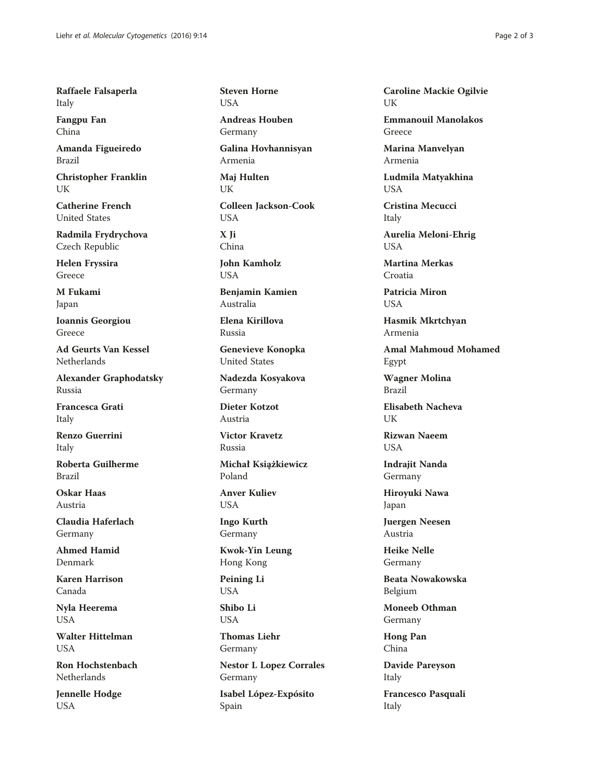Raffaele Falsaperla Italy

Fangpu Fan China

Amanda Figueiredo Brazil

Christopher Franklin UK

Catherine French United States

Radmila Frydrychova Czech Republic

Helen Fryssira Greece

M Fukami Japan

Ioannis Georgiou Greece

Ad Geurts Van Kessel Netherlands

Alexander Graphodatsky Russia

Francesca Grati Italy

Renzo Guerrini Italy

Roberta Guilherme Brazil

Oskar Haas Austria

Claudia Haferlach Germany

Ahmed Hamid Denmark

Karen Harrison Canada

Nyla Heerema USA

Walter Hittelman **USA** 

Ron Hochstenbach Netherlands

Jennelle Hodge USA

Steven Horne **USA** 

Andreas Houben Germany

Galina Hovhannisyan Armenia

Maj Hulten UK

Colleen Jackson-Cook USA

X Ji China

John Kamholz **USA** 

Benjamin Kamien Australia

Elena Kirillova Russia

Genevieve Konopka United States

Nadezda Kosyakova Germany

Dieter Kotzot Austria

Victor Kravetz Russia

Michał Książkiewicz Poland

Anver Kuliev **USA** 

Ingo Kurth Germany

Kwok-Yin Leung Hong Kong

Peining Li USA

Shibo Li USA

Thomas Liehr Germany

Nestor L Lopez Corrales Germany

Isabel López-Expósito Spain

Caroline Mackie Ogilvie I IK

Emmanouil Manolakos Greece

Marina Manvelyan Armenia

Ludmila Matyakhina USA

Cristina Mecucci Italy

Aurelia Meloni-Ehrig USA

Martina Merkas Croatia

Patricia Miron USA

Hasmik Mkrtchyan Armenia

Amal Mahmoud Mohamed Egypt

Wagner Molina Brazil

Elisabeth Nacheva **I** IK

Rizwan Naeem **USA** 

Indrajit Nanda Germany

Hiroyuki Nawa Japan

Juergen Neesen Austria

Heike Nelle Germany

Beata Nowakowska Belgium

Moneeb Othman Germany

Hong Pan China

Davide Pareyson Italy

Francesco Pasquali Italy